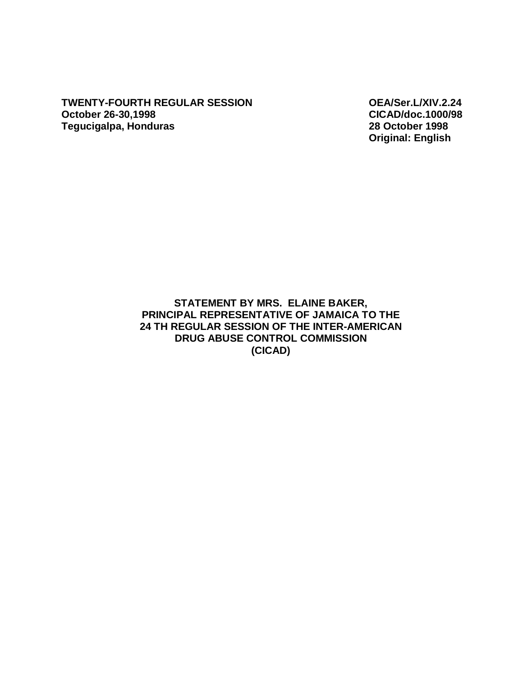**TWENTY-FOURTH REGULAR SESSION OEA/Ser.L/XIV.2.24 October 26-30,1998 CICAD/doc.1000/98 Tegucigalpa, Honduras** 

**Original: English** 

## **STATEMENT BY MRS. ELAINE BAKER, PRINCIPAL REPRESENTATIVE OF JAMAICA TO THE 24 TH REGULAR SESSION OF THE INTER-AMERICAN DRUG ABUSE CONTROL COMMISSION (CICAD)**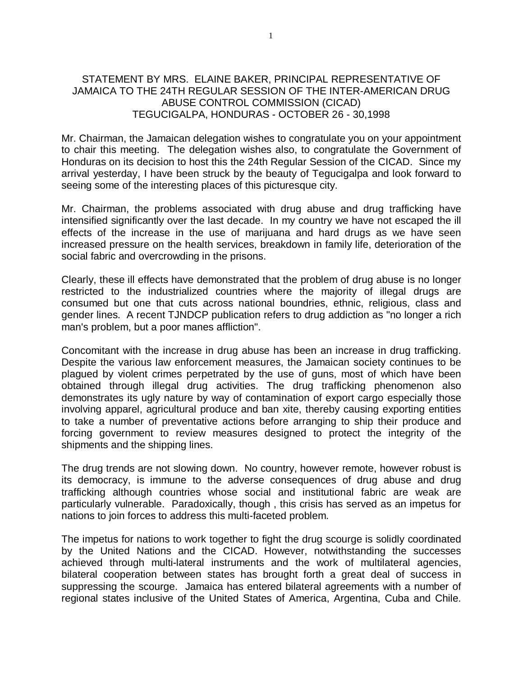## STATEMENT BY MRS. ELAINE BAKER, PRINCIPAL REPRESENTATIVE OF JAMAICA TO THE 24TH REGULAR SESSION OF THE INTER-AMERICAN DRUG ABUSE CONTROL COMMISSION (CICAD) TEGUCIGALPA, HONDURAS - OCTOBER 26 - 30,1998

Mr. Chairman, the Jamaican delegation wishes to congratulate you on your appointment to chair this meeting. The delegation wishes also, to congratulate the Government of Honduras on its decision to host this the 24th Regular Session of the CICAD. Since my arrival yesterday, I have been struck by the beauty of Tegucigalpa and look forward to seeing some of the interesting places of this picturesque city.

Mr. Chairman, the problems associated with drug abuse and drug trafficking have intensified significantly over the last decade. In my country we have not escaped the ill effects of the increase in the use of marijuana and hard drugs as we have seen increased pressure on the health services, breakdown in family life, deterioration of the social fabric and overcrowding in the prisons.

Clearly, these ill effects have demonstrated that the problem of drug abuse is no longer restricted to the industrialized countries where the majority of illegal drugs are consumed but one that cuts across national boundries, ethnic, religious, class and gender lines. A recent TJNDCP publication refers to drug addiction as "no longer a rich man's problem, but a poor manes affliction".

Concomitant with the increase in drug abuse has been an increase in drug trafficking. Despite the various law enforcement measures, the Jamaican society continues to be plagued by violent crimes perpetrated by the use of guns, most of which have been obtained through illegal drug activities. The drug trafficking phenomenon also demonstrates its ugly nature by way of contamination of export cargo especially those involving apparel, agricultural produce and ban xite, thereby causing exporting entities to take a number of preventative actions before arranging to ship their produce and forcing government to review measures designed to protect the integrity of the shipments and the shipping lines.

The drug trends are not slowing down. No country, however remote, however robust is its democracy, is immune to the adverse consequences of drug abuse and drug trafficking although countries whose social and institutional fabric are weak are particularly vulnerable. Paradoxically, though , this crisis has served as an impetus for nations to join forces to address this multi-faceted problem.

The impetus for nations to work together to fight the drug scourge is solidly coordinated by the United Nations and the CICAD. However, notwithstanding the successes achieved through multi-lateral instruments and the work of multilateral agencies, bilateral cooperation between states has brought forth a great deal of success in suppressing the scourge. Jamaica has entered bilateral agreements with a number of regional states inclusive of the United States of America, Argentina, Cuba and Chile.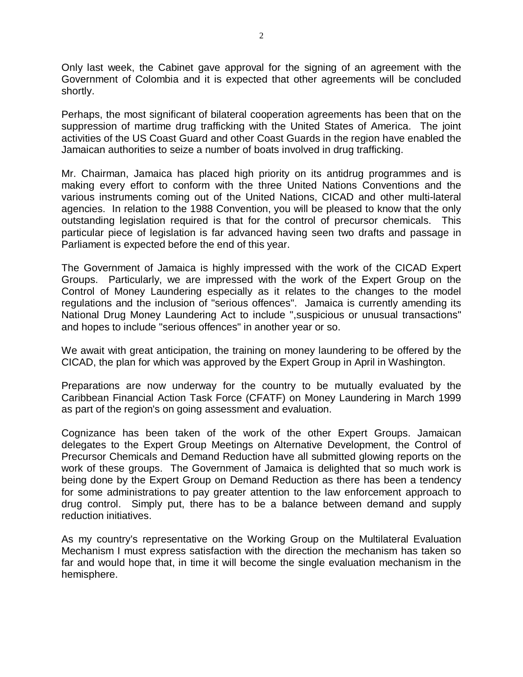Only last week, the Cabinet gave approval for the signing of an agreement with the Government of Colombia and it is expected that other agreements will be concluded shortly.

Perhaps, the most significant of bilateral cooperation agreements has been that on the suppression of martime drug trafficking with the United States of America. The joint activities of the US Coast Guard and other Coast Guards in the region have enabled the Jamaican authorities to seize a number of boats involved in drug trafficking.

Mr. Chairman, Jamaica has placed high priority on its antidrug programmes and is making every effort to conform with the three United Nations Conventions and the various instruments coming out of the United Nations, CICAD and other multi-lateral agencies. In relation to the 1988 Convention, you will be pleased to know that the only outstanding legislation required is that for the control of precursor chemicals. This particular piece of legislation is far advanced having seen two drafts and passage in Parliament is expected before the end of this year.

The Government of Jamaica is highly impressed with the work of the CICAD Expert Groups. Particularly, we are impressed with the work of the Expert Group on the Control of Money Laundering especially as it relates to the changes to the model regulations and the inclusion of "serious offences". Jamaica is currently amending its National Drug Money Laundering Act to include ",suspicious or unusual transactions" and hopes to include "serious offences" in another year or so.

We await with great anticipation, the training on money laundering to be offered by the CICAD, the plan for which was approved by the Expert Group in April in Washington.

Preparations are now underway for the country to be mutually evaluated by the Caribbean Financial Action Task Force (CFATF) on Money Laundering in March 1999 as part of the region's on going assessment and evaluation.

Cognizance has been taken of the work of the other Expert Groups. Jamaican delegates to the Expert Group Meetings on Alternative Development, the Control of Precursor Chemicals and Demand Reduction have all submitted glowing reports on the work of these groups. The Government of Jamaica is delighted that so much work is being done by the Expert Group on Demand Reduction as there has been a tendency for some administrations to pay greater attention to the law enforcement approach to drug control. Simply put, there has to be a balance between demand and supply reduction initiatives.

As my country's representative on the Working Group on the Multilateral Evaluation Mechanism I must express satisfaction with the direction the mechanism has taken so far and would hope that, in time it will become the single evaluation mechanism in the hemisphere.